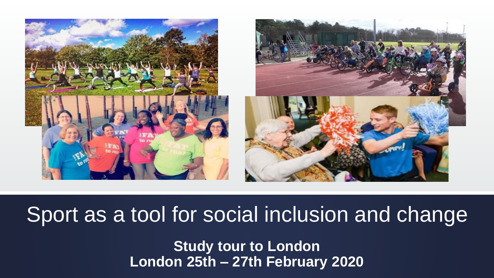

# Sport as a tool for social inclusion and change

**Study tour to London London 25th – 27th February 2020**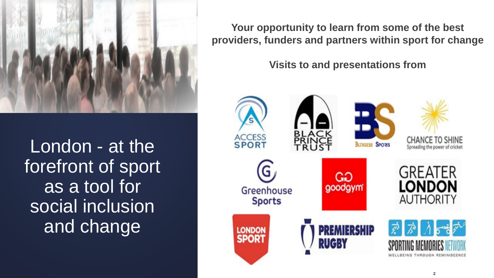

London - at the forefront of sport as a tool for social inclusion and change

**Your opportunity to learn from some of the best providers, funders and partners within sport for change**

**Visits to and presentations from** 

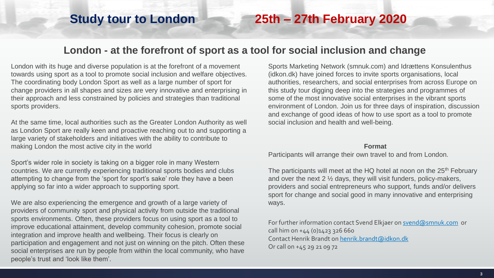### **Study tour to London 25th – 27th February 2020**

#### **London - at the forefront of sport as a tool for social inclusion and change**

London with its huge and diverse population is at the forefront of a movement towards using sport as a tool to promote social inclusion and welfare objectives. The coordinating body London Sport as well as a large number of sport for change providers in all shapes and sizes are very innovative and enterprising in their approach and less constrained by policies and strategies than traditional sports providers.

At the same time, local authorities such as the Greater London Authority as well as London Sport are really keen and proactive reaching out to and supporting a large variety of stakeholders and initiatives with the ability to contribute to making London the most active city in the world

Sport's wider role in society is taking on a bigger role in many Western countries. We are currently experiencing traditional sports bodies and clubs attempting to change from the 'sport for sport's sake' role they have a been applying so far into a wider approach to supporting sport.

We are also experiencing the emergence and growth of a large variety of providers of community sport and physical activity from outside the traditional sports environments. Often, these providers focus on using sport as a tool to improve educational attainment, develop community cohesion, promote social integration and improve health and wellbeing. Their focus is clearly on participation and engagement and not just on winning on the pitch. Often these social enterprises are run by people from within the local community, who have people's trust and 'look like them'.

Sports Marketing Network (smnuk.com) and Idrættens Konsulenthus (idkon.dk) have joined forces to invite sports organisations, local authorities, researchers, and social enterprises from across Europe on this study tour digging deep into the strategies and programmes of some of the most innovative social enterprises in the vibrant sports environment of London. Join us for three days of inspiration, discussion and exchange of good ideas of how to use sport as a tool to promote social inclusion and health and well-being.

#### **Format**

Participants will arrange their own travel to and from London.

The participants will meet at the HQ hotel at noon on the 25<sup>th</sup> February and over the next 2 ½ days, they will visit funders, policy-makers, providers and social entrepreneurs who support, funds and/or delivers sport for change and social good in many innovative and enterprising ways.

For further information contact Svend Elkjaer on [svend@smnuk.com](mailto:svend@smnuk.com) or call him on +44 (0)1423 326 660 Contact Henrik Brandt on [henrik.brandt@idkon.dk](mailto:henrik.brandt@idkon.dk) Or call on +45 29 21 09 72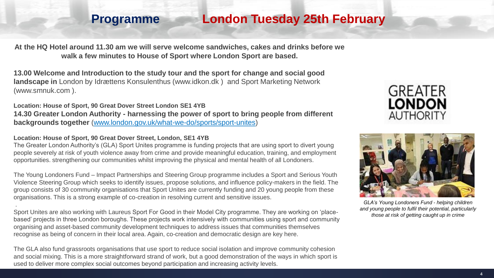### **Programme London Tuesday 25th February**

**At the HQ Hotel around 11.30 am we will serve welcome sandwiches, cakes and drinks before we walk a few minutes to House of Sport where London Sport are based.**

**13.00 Welcome and Introduction to the study tour and the sport for change and social good landscape in** London by Idrættens Konsulenthus (www.idkon.dk ) and Sport Marketing Network (www.smnuk.com ).

**Location: House of Sport, 90 Great Dover Street London SE1 4YB 14.30 Greater London Authority - harnessing the power of sport to bring people from different backgrounds together** [\(www.london.gov.uk/what-we-do/sports/sport-unites\)](http://www.london.gov.uk/what-we-do/sports/sport-unites)

**Location: House of Sport, 90 Great Dover Street, London, SE1 4YB**

.

The Greater London Authority's (GLA) Sport Unites programme is funding projects that are using sport to divert young people severely at risk of youth violence away from crime and provide meaningful education, training, and employment opportunities. strengthening our communities whilst improving the physical and mental health of all Londoners.

The Young Londoners Fund – Impact Partnerships and Steering Group programme includes a Sport and Serious Youth Violence Steering Group which seeks to identify issues, propose solutions, and influence policy-makers in the field. The group consists of 30 community organisations that Sport Unites are currently funding and 20 young people from these organisations. This is a strong example of co-creation in resolving current and sensitive issues.

Sport Unites are also working with Laureus Sport For Good in their Model City programme. They are working on 'placebased' projects in three London boroughs. These projects work intensively with communities using sport and community organising and asset-based community development techniques to address issues that communities themselves recognise as being of concern in their local area. Again, co-creation and democratic design are key here.

The GLA also fund grassroots organisations that use sport to reduce social isolation and improve community cohesion and social mixing. This is a more straightforward strand of work, but a good demonstration of the ways in which sport is used to deliver more complex social outcomes beyond participation and increasing activity levels.





*GLA's Young Londoners Fund - helping children and young people to fulfil their potential, particularly those at risk of getting caught up in crime*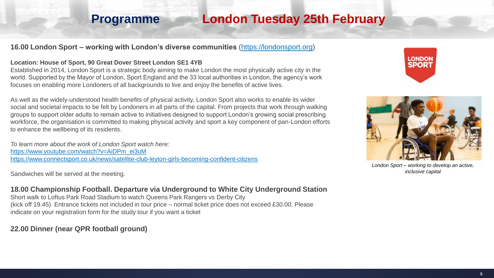### **Programme London Tuesday 25th February**

#### **16.00 London Sport – working with London's diverse communities** ([https://londonsport.org\)](https://londonsport.org/)

#### **Location: House of Sport, 90 Great Dover Street London SE1 4YB**

Established in 2014, London Sport is a strategic body aiming to make London the most physically active city in the world. Supported by the Mayor of London, Sport England and the 33 local authorities in London, the agency's work focuses on enabling more Londoners of all backgrounds to live and enjoy the benefits of active lives.

As well as the widely-understood health benefits of physical activity, London Sport also works to enable its wider social and societal impacts to be felt by Londoners in all parts of the capital. From projects that work through walking groups to support older adults to remain active to initiatives designed to support London's growing social prescribing workforce, the organisation is committed to making physical activity and sport a key component of pan-London efforts to enhance the wellbeing of its residents.

*To learn more about the work of London Sport watch here:* [https://www.youtube.com/watch?v=AiDPm\\_ei3uM](https://www.youtube.com/watch?v=AiDPm_ei3uM) <https://www.connectsport.co.uk/news/satellite-club-leyton-girls-becoming-confident-citizens>

Sandwiches will be served at the meeting.

#### **18.00 Championship Football. Departure via Underground to White City Underground Station**

Short walk to Loftus Park Road Stadium to watch Queens Park Rangers vs Derby City (kick off 19.45) Entrance tickets not included in tour price – normal ticket price does not exceed £30.00. Please indicate on your registration form for the study tour if you want a ticket

#### **22.00 Dinner (near QPR football ground)**





*London Sport – working to develop an active, inclusive capital*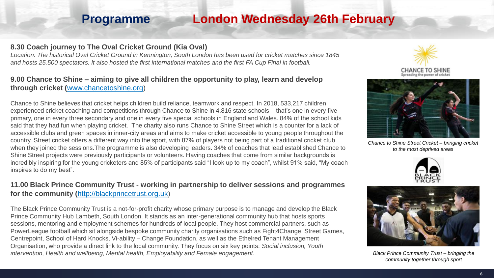### **Programme London Wednesday 26th February**

#### **8.30 Coach journey to The Oval Cricket Ground (Kia Oval)**

*Location: The historical Oval Cricket Ground in Kennington, South London has been used for cricket matches since 1845 and hosts 25.500 spectators. It also hosted the first international matches and the first FA Cup Final in football.*

#### **9.00 Chance to Shine – aiming to give all children the opportunity to play, learn and develop through cricket (**[www.chancetoshine.org](http://www.chancetoshine.org/))

Chance to Shine believes that cricket helps children build reliance, teamwork and respect. In 2018, 533,217 children experienced cricket coaching and competitions through Chance to Shine in 4,816 state schools – that's one in every five primary, one in every three secondary and one in every five special schools in England and Wales. 84% of the school kids said that they had fun when playing cricket. The charity also runs Chance to Shine Street which is a counter for a lack of accessible clubs and green spaces in inner-city areas and aims to make cricket accessible to young people throughout the country. Street cricket offers a different way into the sport, with 87% of players not being part of a traditional cricket club when they joined the sessions.The programme is also developing leaders. 34% of coaches that lead established Chance to Shine Street projects were previously participants or volunteers. Having coaches that come from similar backgrounds is incredibly inspiring for the young cricketers and 85% of participants said "I look up to my coach", whilst 91% said, "My coach inspires to do my best".

#### **11.00 Black Prince Community Trust - working in partnership to deliver sessions and programmes for the community (**[http://blackprincetrust.org.uk](http://blackprincetrust.org.uk/))

The Black Prince Community Trust is a not-for-profit charity whose primary purpose is to manage and develop the Black Prince Community Hub Lambeth, South London. It stands as an inter-generational community hub that hosts sports sessions, mentoring and employment schemes for hundreds of local people. They host commercial partners, such as PowerLeague football which sit alongside bespoke community charity organisations such as Fight4Change, Street Games, Centrepoint, School of Hard Knocks, Vi-ability – Change Foundation, as well as the Ethelred Tenant Management Organisation, who provide a direct link to the local community. They focus on six key points: *Social inclusion, Youth intervention, Health and wellbeing, Mental health, Employability and Female engagement.*





*Chance to Shine Street Cricket – bringing cricket to the most deprived areas*





*Black Prince Community Trust – bringing the community together through sport*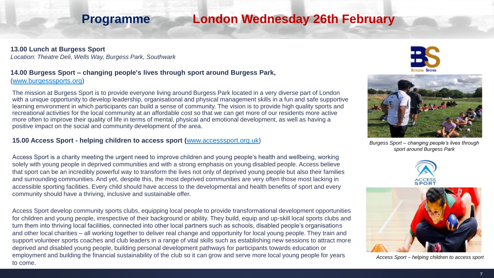### **Programme London Wednesday 26th February**

#### **13.00 Lunch at Burgess Sport**

*Location: Theatre Deli, Wells Way, Burgess Park, Southwark*

### **14.00 Burgess Sport – changing people's lives through sport around Burgess Park,**

([www.burgesssports.org\)](http://www.burgesssports.org/)

The mission at Burgess Sport is to provide everyone living around Burgess Park located in a very diverse part of London with a unique opportunity to develop leadership, organisational and physical management skills in a fun and safe supportive learning environment in which participants can build a sense of community. The vision is to provide high quality sports and recreational activities for the local community at an affordable cost so that we can get more of our residents more active more often to improve their quality of life in terms of mental, physical and emotional development, as well as having a positive impact on the social and community development of the area.

#### **15.00 Access Sport - helping children to access sport (**[www.accesssport.org.uk\)](http://www.accesssport.org.uk/)

Access Sport is a charity meeting the urgent need to improve children and young people's health and wellbeing, working solely with young people in deprived communities and with a strong emphasis on young disabled people. Access believe that sport can be an incredibly powerful way to transform the lives not only of deprived young people but also their families and surrounding communities. And yet, despite this, the most deprived communities are very often those most lacking in accessible sporting facilities. Every child should have access to the developmental and health benefits of sport and every community should have a thriving, inclusive and sustainable offer.

Access Sport develop community sports clubs, equipping local people to provide transformational development opportunities for children and young people, irrespective of their background or ability. They build, equip and up-skill local sports clubs and turn them into thriving local facilities, connected into other local partners such as schools, disabled people's organisations and other local charities – all working together to deliver real change and opportunity for local young people. They train and support volunteer sports coaches and club leaders in a range of vital skills such as establishing new sessions to attract more deprived and disabled young people, building personal development pathways for participants towards education or employment and building the financial sustainability of the club so it can grow and serve more local young people for years to come.





*Burgess Sport – changing people's lives through sport around Burgess Park* 





*Access Sport – helping children to access sport*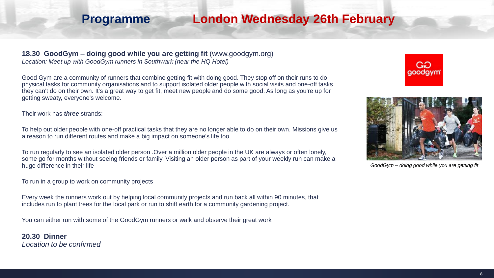### **Programme London Wednesday 26th February**

#### **18.30 GoodGym – doing good while you are getting fit** (www.goodgym.org)

*Location: Meet up with GoodGym runners in Southwark (near the HQ Hotel)*

Good Gym are a community of runners that combine getting fit with doing good. They stop off on their runs to do physical tasks for community organisations and to support isolated older people with social visits and one-off tasks they can't do on their own. It's a great way to get fit, meet new people and do some good. As long as you're up for getting sweaty, everyone's welcome.

Their work has *three* strands:

To help out older people with one-off practical tasks that they are no longer able to do on their own. Missions give us a reason to run different routes and make a big impact on someone's life too.

To run regularly to see an isolated older person .Over a million older people in the UK are always or often lonely, some go for months without seeing friends or family. Visiting an older person as part of your weekly run can make a huge difference in their life

To run in a group to work on community projects

Every week the runners work out by helping local community projects and run back all within 90 minutes, that includes run to plant trees for the local park or run to shift earth for a community gardening project.

You can either run with some of the GoodGym runners or walk and observe their great work

**20.30 Dinner**  *Location to be confirmed*





*GoodGym – doing good while you are getting fit*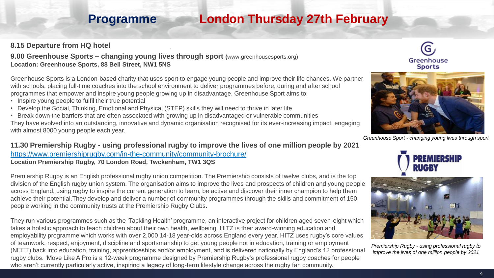### **Programme London Thursday 27th February**

#### **8.15 Departure from HQ hotel**

**9.00 Greenhouse Sports – changing young lives through sport (**www.greenhousesports.org) **Location: Greenhouse Sports, 88 Bell Street, NW1 5NS**

.

Greenhouse Sports is a London-based charity that uses sport to engage young people and improve their life chances. We partner with schools, placing full-time coaches into the school environment to deliver programmes before, during and after school programmes that empower and inspire young people growing up in disadvantage. Greenhouse Sport aims to:

- Inspire young people to fulfil their true potential
- Develop the Social, Thinking, Emotional and Physical (STEP) skills they will need to thrive in later life
- Break down the barriers that are often associated with growing up in disadvantaged or vulnerable communities

They have evolved into an outstanding, innovative and dynamic organisation recognised for its ever-increasing impact, engaging with almost 8000 young people each year.

**11.30 Premiership Rugby - using professional rugby to improve the lives of one million people by 2021**  <https://www.premiershiprugby.com/in-the-community/community-brochure/> **Location Premiership Rugby, 70 London Road, Twckenham, TW1 3QS**

Premiership Rugby is an English professional rugby union competition. The Premiership consists of twelve clubs, and is the top division of the English rugby union system. The organisation aims to improve the lives and prospects of children and young people across England, using rugby to inspire the current generation to learn, be active and discover their inner champion to help them achieve their potential.They develop and deliver a number of community programmes through the skills and commitment of 150 people working in the community trusts at the Premiership Rugby Clubs.

They run various programmes such as the 'Tackling Health' programme, an interactive project for children aged seven-eight which takes a holistic approach to teach children about their own health, wellbeing. HITZ is their award-winning education and employability programme which works with over 2,000 14-18 year-olds across England every year. HITZ uses rugby's core values of teamwork, respect, enjoyment, discipline and sportsmanship to get young people not in education, training or employment (NEET) back into education, training, apprenticeships and/or employment, and is delivered nationally by England's 12 professional rugby clubs. 'Move Like A Pro is a 12-week programme designed by Premiership Rugby's professional rugby coaches for people who aren't currently particularly active, inspiring a legacy of long-term lifestyle change across the rugby fan community.





*Greenhouse Sport - changing young lives through sport*





*Premiership Rugby - using professional rugby to improve the lives of one million people by 2021*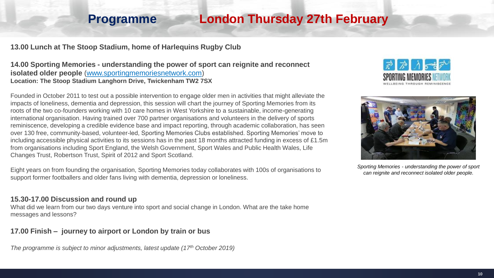### **Programme London Thursday 27th February**

#### **13.00 Lunch at The Stoop Stadium, home of Harlequins Rugby Club**

**14.00 Sporting Memories - understanding the power of sport can reignite and reconnect isolated older people** [\(www.sportingmemoriesnetwork.com](http://www.sportingmemoriesnetwork.com/)) **Location: The Stoop Stadium Langhorn Drive, Twickenham TW2 7SX**

Founded in October 2011 to test out a possible intervention to engage older men in activities that might alleviate the impacts of loneliness, dementia and depression, this session will chart the journey of Sporting Memories from its roots of the two co-founders working with 10 care homes in West Yorkshire to a sustainable, income-generating international organisation. Having trained over 700 partner organisations and volunteers in the delivery of sports reminiscence, developing a credible evidence base and impact reporting, through academic collaboration, has seen over 130 free, community-based, volunteer-led, Sporting Memories Clubs established. Sporting Memories' move to including accessible physical activities to its sessions has in the past 18 months attracted funding in excess of £1.5m from organisations including Sport England, the Welsh Government, Sport Wales and Public Health Wales, Life Changes Trust, Robertson Trust, Spirit of 2012 and Sport Scotland.

Eight years on from founding the organisation, Sporting Memories today collaborates with 100s of organisations to support former footballers and older fans living with dementia, depression or loneliness.

#### **15.30-17.00 Discussion and round up**

What did we learn from our two days venture into sport and social change in London. What are the take home messages and lessons?

#### **17.00 Finish – journey to airport or London by train or bus**

*The programme is subject to minor adjustments, latest update (17th October 2019)*





*Sporting Memories - understanding the power of sport can reignite and reconnect isolated older people.*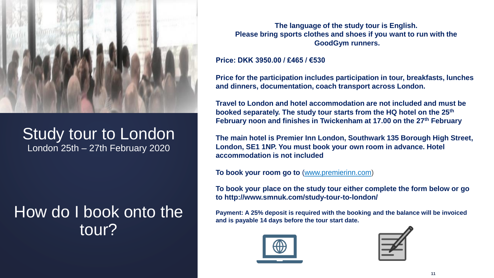

### Study tour to London London 25th – 27th February 2020

## How do I book onto the tour?

**The language of the study tour is English. Please bring sports clothes and shoes if you want to run with the GoodGym runners.**

#### **Price: DKK 3950.00 / £465 / €530**

**Price for the participation includes participation in tour, breakfasts, lunches and dinners, documentation, coach transport across London.**

**Travel to London and hotel accommodation are not included and must be booked separately. The study tour starts from the HQ hotel on the 25th February noon and finishes in Twickenham at 17.00 on the 27th February**

**The main hotel is Premier Inn London, Southwark 135 Borough High Street, London, SE1 1NP. You must book your own room in advance. Hotel accommodation is not included**

**To book your room go to** ([www.premierinn.com\)](http://www.premierinn.com/)

**To book your place on the study tour either complete the form below or go to http://www.smnuk.com/study-tour-to-london/**

**Payment: A 25% deposit is required with the booking and the balance will be invoiced and is payable 14 days before the tour start date.** 



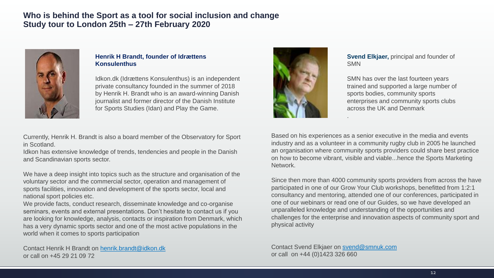#### **Who is behind the Sport as a tool for social inclusion and change Study tour to London 25th – 27th February 2020**



#### **Henrik H Brandt, founder of Idrættens Konsulenthus**

Idkon.dk (Idrættens Konsulenthus) is an independent private consultancy founded in the summer of 2018 by Henrik H. Brandt who is an award-winning Danish journalist and former director of the Danish Institute for Sports Studies (Idan) and Play the Game.

Currently, Henrik H. Brandt is also a board member of the Observatory for Sport in Scotland.

Idkon has extensive knowledge of trends, tendencies and people in the Danish and Scandinavian sports sector.

We have a deep insight into topics such as the structure and organisation of the voluntary sector and the commercial sector, operation and management of sports facilities, innovation and development of the sports sector, local and national sport policies etc.

We provide facts, conduct research, disseminate knowledge and co-organise seminars, events and external presentations. Don't hesitate to contact us if you are looking for knowledge, analysis, contacts or inspiration from Denmark, which has a very dynamic sports sector and one of the most active populations in the world when it comes to sports participation

Contact Henrik H Brandt on [henrik.brandt@idkon.dk](mailto:henrik.brandt@idkon.dk) or call on +45 29 21 09 72



**Svend Elkjaer,** principal and founder of SMN

SMN has over the last fourteen years trained and supported a large number of sports bodies, community sports enterprises and community sports clubs across the UK and Denmark

Based on his experiences as a senior executive in the media and events industry and as a volunteer in a community rugby club in 2005 he launched an organisation where community sports providers could share best practice on how to become vibrant, visible and viable...hence the Sports Marketing Network.

.

Since then more than 4000 community sports providers from across the have participated in one of our Grow Your Club workshops, benefitted from 1:2:1 consultancy and mentoring, attended one of our conferences, participated in one of our webinars or read one of our Guides, so we have developed an unparalleled knowledge and understanding of the opportunities and challenges for the enterprise and innovation aspects of community sport and physical activity

Contact Svend Elkjaer on [svend@smnuk.com](mailto:svend@smnuk.com) or call on +44 (0)1423 326 660